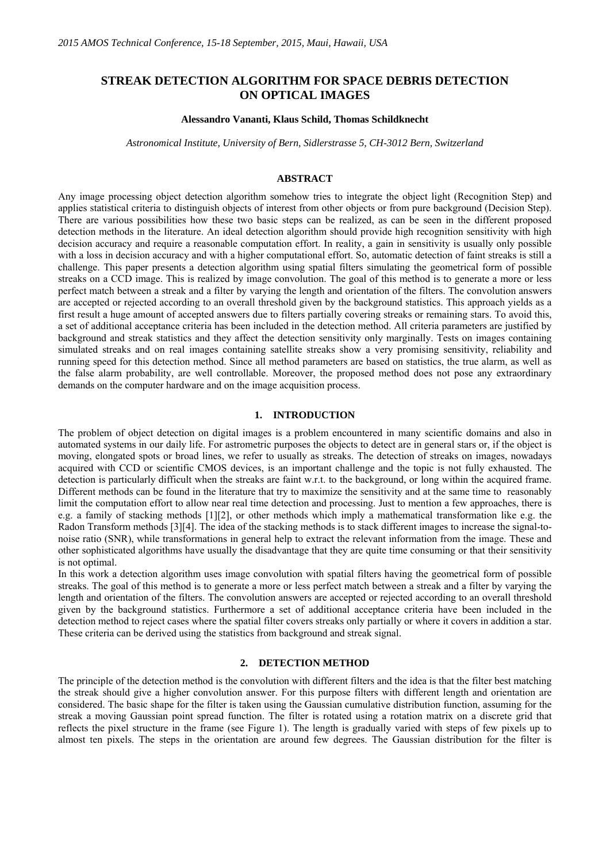# **STREAK DETECTION ALGORITHM FOR SPACE DEBRIS DETECTION ON OPTICAL IMAGES**

#### **Alessandro Vananti, Klaus Schild, Thomas Schildknecht**

*Astronomical Institute, University of Bern, Sidlerstrasse 5, CH-3012 Bern, Switzerland* 

#### **ABSTRACT**

Any image processing object detection algorithm somehow tries to integrate the object light (Recognition Step) and applies statistical criteria to distinguish objects of interest from other objects or from pure background (Decision Step). There are various possibilities how these two basic steps can be realized, as can be seen in the different proposed detection methods in the literature. An ideal detection algorithm should provide high recognition sensitivity with high decision accuracy and require a reasonable computation effort. In reality, a gain in sensitivity is usually only possible with a loss in decision accuracy and with a higher computational effort. So, automatic detection of faint streaks is still a challenge. This paper presents a detection algorithm using spatial filters simulating the geometrical form of possible streaks on a CCD image. This is realized by image convolution. The goal of this method is to generate a more or less perfect match between a streak and a filter by varying the length and orientation of the filters. The convolution answers are accepted or rejected according to an overall threshold given by the background statistics. This approach yields as a first result a huge amount of accepted answers due to filters partially covering streaks or remaining stars. To avoid this, a set of additional acceptance criteria has been included in the detection method. All criteria parameters are justified by background and streak statistics and they affect the detection sensitivity only marginally. Tests on images containing simulated streaks and on real images containing satellite streaks show a very promising sensitivity, reliability and running speed for this detection method. Since all method parameters are based on statistics, the true alarm, as well as the false alarm probability, are well controllable. Moreover, the proposed method does not pose any extraordinary demands on the computer hardware and on the image acquisition process.

#### **1. INTRODUCTION**

The problem of object detection on digital images is a problem encountered in many scientific domains and also in automated systems in our daily life. For astrometric purposes the objects to detect are in general stars or, if the object is moving, elongated spots or broad lines, we refer to usually as streaks. The detection of streaks on images, nowadays acquired with CCD or scientific CMOS devices, is an important challenge and the topic is not fully exhausted. The detection is particularly difficult when the streaks are faint w.r.t. to the background, or long within the acquired frame. Different methods can be found in the literature that try to maximize the sensitivity and at the same time to reasonably limit the computation effort to allow near real time detection and processing. Just to mention a few approaches, there is e.g. a family of stacking methods [1][2], or other methods which imply a mathematical transformation like e.g. the Radon Transform methods [3][4]. The idea of the stacking methods is to stack different images to increase the signal-tonoise ratio (SNR), while transformations in general help to extract the relevant information from the image. These and other sophisticated algorithms have usually the disadvantage that they are quite time consuming or that their sensitivity is not optimal.

In this work a detection algorithm uses image convolution with spatial filters having the geometrical form of possible streaks. The goal of this method is to generate a more or less perfect match between a streak and a filter by varying the length and orientation of the filters. The convolution answers are accepted or rejected according to an overall threshold given by the background statistics. Furthermore a set of additional acceptance criteria have been included in the detection method to reject cases where the spatial filter covers streaks only partially or where it covers in addition a star. These criteria can be derived using the statistics from background and streak signal.

#### **2. DETECTION METHOD**

The principle of the detection method is the convolution with different filters and the idea is that the filter best matching the streak should give a higher convolution answer. For this purpose filters with different length and orientation are considered. The basic shape for the filter is taken using the Gaussian cumulative distribution function, assuming for the streak a moving Gaussian point spread function. The filter is rotated using a rotation matrix on a discrete grid that reflects the pixel structure in the frame (see Figure 1). The length is gradually varied with steps of few pixels up to almost ten pixels. The steps in the orientation are around few degrees. The Gaussian distribution for the filter is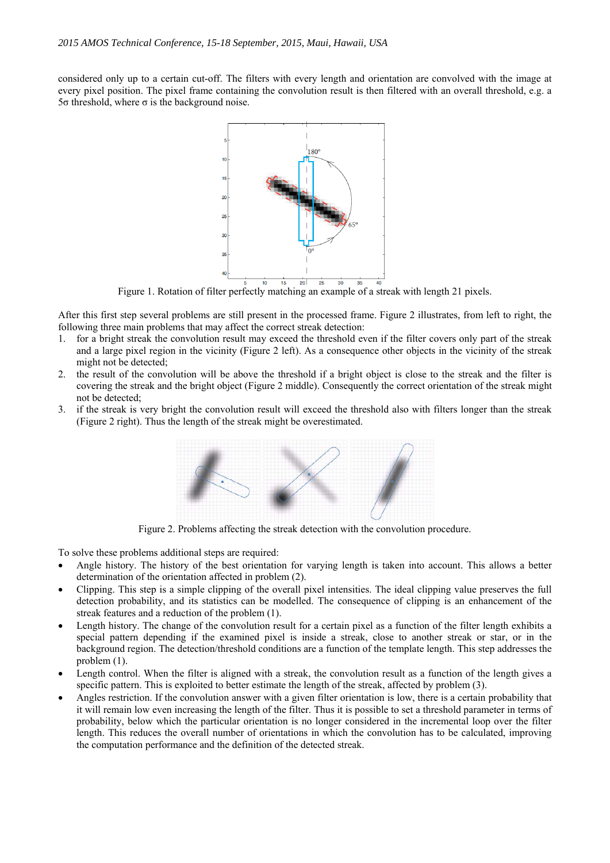considered only up to a certain cut-off. The filters with every length and orientation are convolved with the image at every pixel position. The pixel frame containing the convolution result is then filtered with an overall threshold, e.g. a 5σ threshold, where σ is the background noise.



Figure 1. Rotation of filter perfectly matching an example of a streak with length 21 pixels.

After this first step several problems are still present in the processed frame. Figure 2 illustrates, from left to right, the following three main problems that may affect the correct streak detection:

- 1. for a bright streak the convolution result may exceed the threshold even if the filter covers only part of the streak and a large pixel region in the vicinity (Figure 2 left). As a consequence other objects in the vicinity of the streak might not be detected;
- 2. the result of the convolution will be above the threshold if a bright object is close to the streak and the filter is covering the streak and the bright object (Figure 2 middle). Consequently the correct orientation of the streak might not be detected;
- 3. if the streak is very bright the convolution result will exceed the threshold also with filters longer than the streak (Figure 2 right). Thus the length of the streak might be overestimated.



Figure 2. Problems affecting the streak detection with the convolution procedure.

To solve these problems additional steps are required:

- Angle history. The history of the best orientation for varying length is taken into account. This allows a better determination of the orientation affected in problem (2).
- Clipping. This step is a simple clipping of the overall pixel intensities. The ideal clipping value preserves the full detection probability, and its statistics can be modelled. The consequence of clipping is an enhancement of the streak features and a reduction of the problem (1).
- Length history. The change of the convolution result for a certain pixel as a function of the filter length exhibits a special pattern depending if the examined pixel is inside a streak, close to another streak or star, or in the background region. The detection/threshold conditions are a function of the template length. This step addresses the problem (1).
- Length control. When the filter is aligned with a streak, the convolution result as a function of the length gives a specific pattern. This is exploited to better estimate the length of the streak, affected by problem (3).
- Angles restriction. If the convolution answer with a given filter orientation is low, there is a certain probability that it will remain low even increasing the length of the filter. Thus it is possible to set a threshold parameter in terms of probability, below which the particular orientation is no longer considered in the incremental loop over the filter length. This reduces the overall number of orientations in which the convolution has to be calculated, improving the computation performance and the definition of the detected streak.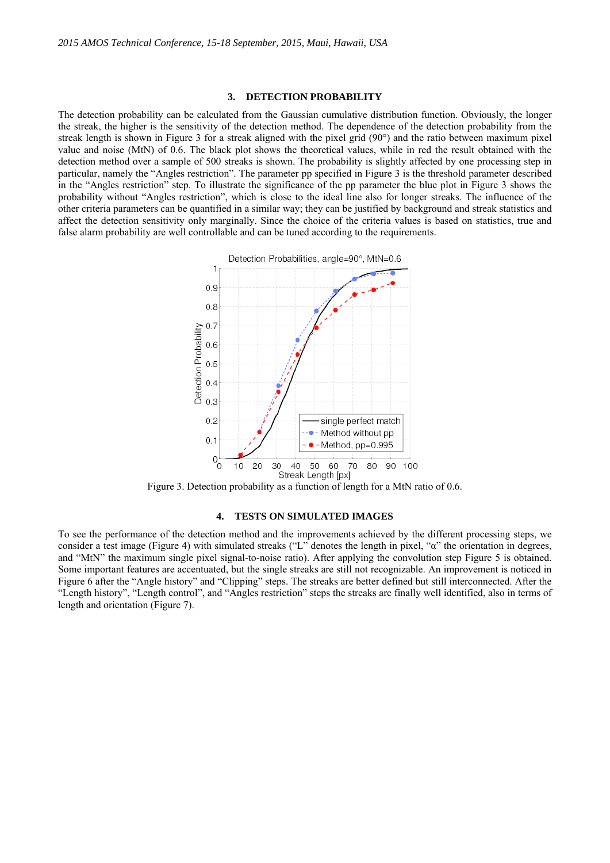#### **3. DETECTION PROBABILITY**

The detection probability can be calculated from the Gaussian cumulative distribution function. Obviously, the longer the streak, the higher is the sensitivity of the detection method. The dependence of the detection probability from the streak length is shown in Figure 3 for a streak aligned with the pixel grid (90°) and the ratio between maximum pixel value and noise (MtN) of 0.6. The black plot shows the theoretical values, while in red the result obtained with the detection method over a sample of 500 streaks is shown. The probability is slightly affected by one processing step in particular, namely the "Angles restriction". The parameter pp specified in Figure 3 is the threshold parameter described in the "Angles restriction" step. To illustrate the significance of the pp parameter the blue plot in Figure 3 shows the probability without "Angles restriction", which is close to the ideal line also for longer streaks. The influence of the other criteria parameters can be quantified in a similar way; they can be justified by background and streak statistics and affect the detection sensitivity only marginally. Since the choice of the criteria values is based on statistics, true and false alarm probability are well controllable and can be tuned according to the requirements.



Figure 3. Detection probability as a function of length for a MtN ratio of 0.6.

#### **4. TESTS ON SIMULATED IMAGES**

To see the performance of the detection method and the improvements achieved by the different processing steps, we consider a test image (Figure 4) with simulated streaks ("L" denotes the length in pixel, "α" the orientation in degrees, and "MtN" the maximum single pixel signal-to-noise ratio). After applying the convolution step Figure 5 is obtained. Some important features are accentuated, but the single streaks are still not recognizable. An improvement is noticed in Figure 6 after the "Angle history" and "Clipping" steps. The streaks are better defined but still interconnected. After the "Length history", "Length control", and "Angles restriction" steps the streaks are finally well identified, also in terms of length and orientation (Figure 7).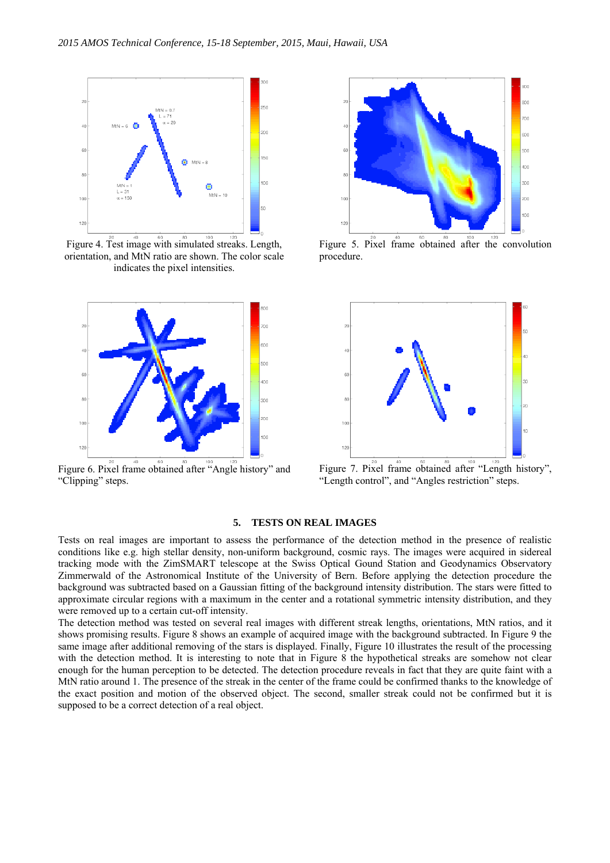

Figure 4. Test image with simulated streaks. Length, orientation, and MtN ratio are shown. The color scale indicates the pixel intensities.



Figure 6. Pixel frame obtained after "Angle history" and "Clipping" steps.



Figure 5. Pixel frame obtained after the convolution procedure.



Figure 7. Pixel frame obtained after "Length history", "Length control", and "Angles restriction" steps.

## **5. TESTS ON REAL IMAGES**

Tests on real images are important to assess the performance of the detection method in the presence of realistic conditions like e.g. high stellar density, non-uniform background, cosmic rays. The images were acquired in sidereal tracking mode with the ZimSMART telescope at the Swiss Optical Gound Station and Geodynamics Observatory Zimmerwald of the Astronomical Institute of the University of Bern. Before applying the detection procedure the background was subtracted based on a Gaussian fitting of the background intensity distribution. The stars were fitted to approximate circular regions with a maximum in the center and a rotational symmetric intensity distribution, and they were removed up to a certain cut-off intensity.

The detection method was tested on several real images with different streak lengths, orientations, MtN ratios, and it shows promising results. Figure 8 shows an example of acquired image with the background subtracted. In Figure 9 the same image after additional removing of the stars is displayed. Finally, Figure 10 illustrates the result of the processing with the detection method. It is interesting to note that in Figure 8 the hypothetical streaks are somehow not clear enough for the human perception to be detected. The detection procedure reveals in fact that they are quite faint with a MtN ratio around 1. The presence of the streak in the center of the frame could be confirmed thanks to the knowledge of the exact position and motion of the observed object. The second, smaller streak could not be confirmed but it is supposed to be a correct detection of a real object.